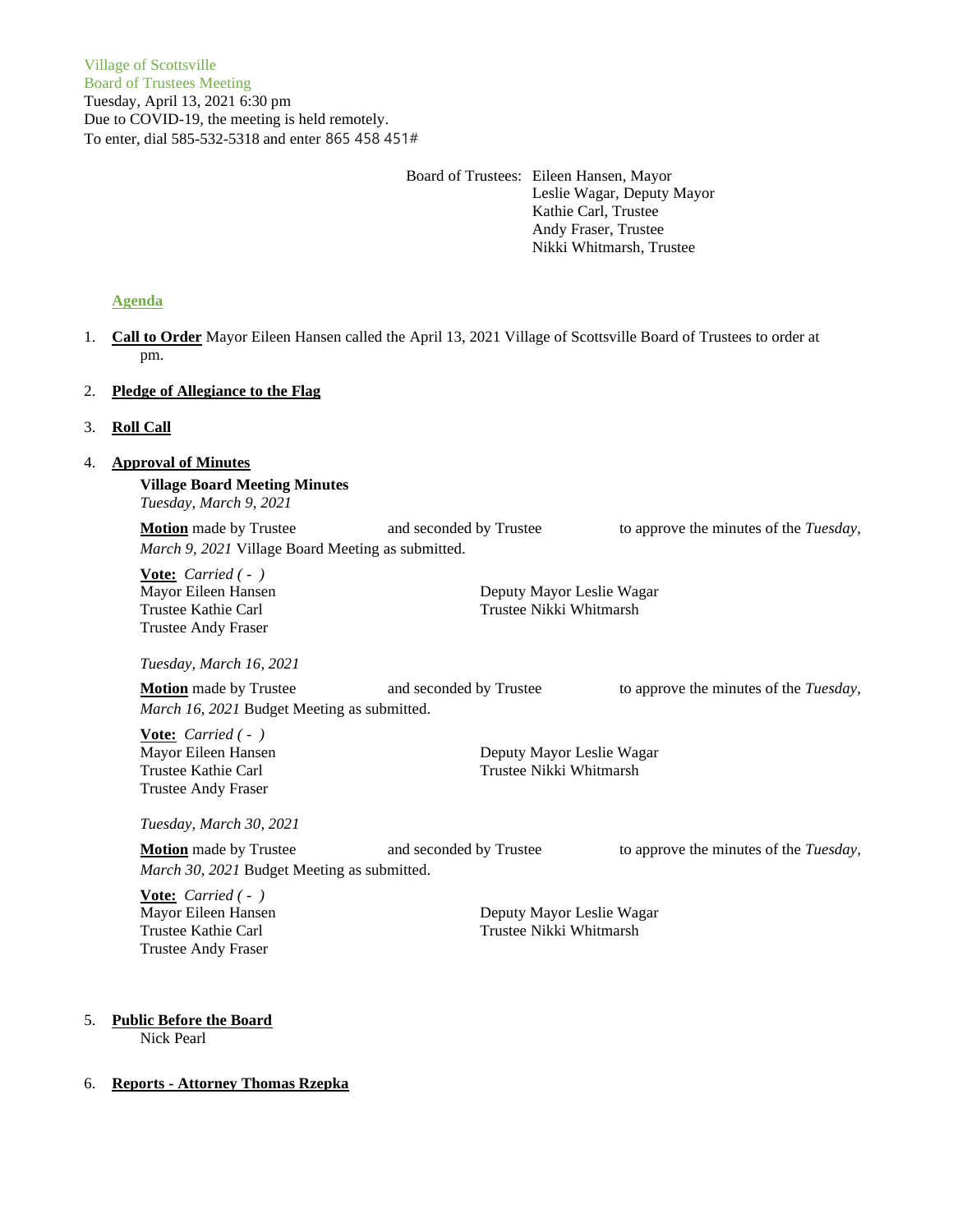Board of Trustees: Eileen Hansen, Mayor Leslie Wagar, Deputy Mayor Kathie Carl, Trustee Andy Fraser, Trustee Nikki Whitmarsh, Trustee

# **Agenda**

1. **Call to Order** Mayor Eileen Hansen called the April 13, 2021 Village of Scottsville Board of Trustees to order at pm.

# 2. **Pledge of Allegiance to the Flag**

# 3. **Roll Call**

# 4. **Approval of Minutes**

**Village Board Meeting Minutes** *Tuesday, March 9, 2021*

**Motion** made by Trustee and seconded by Trustee to approve the minutes of the *Tuesday*, *March 9, 2021* Village Board Meeting as submitted.

**Vote:** *Carried ( - )* Trustee Andy Fraser

Mayor Eileen Hansen Deputy Mayor Leslie Wagar Trustee Kathie Carl Trustee Nikki Whitmarsh

*Tuesday, March 16, 2021*

**Motion** made by Trustee and seconded by Trustee to approve the minutes of the *Tuesday*, *March 16, 2021* Budget Meeting as submitted.

**Vote:** *Carried ( - )* Trustee Andy Fraser

Mayor Eileen Hansen **Deputy Mayor Leslie Wagar** Trustee Kathie Carl Trustee Nikki Whitmarsh

*Tuesday, March 30, 2021*

| <b>Motion</b> made by Trustee               | and seconded by Trustee | to approve the minutes of the <i>Tuesday</i> , |
|---------------------------------------------|-------------------------|------------------------------------------------|
| March 30, 2021 Budget Meeting as submitted. |                         |                                                |

**Vote:** *Carried ( - )* Trustee Andy Fraser

Mayor Eileen Hansen **Deputy Mayor Leslie Wagar** Trustee Kathie Carl Trustee Nikki Whitmarsh

### 5. **Public Before the Board**

Nick Pearl

### 6. **Reports - Attorney Thomas Rzepka**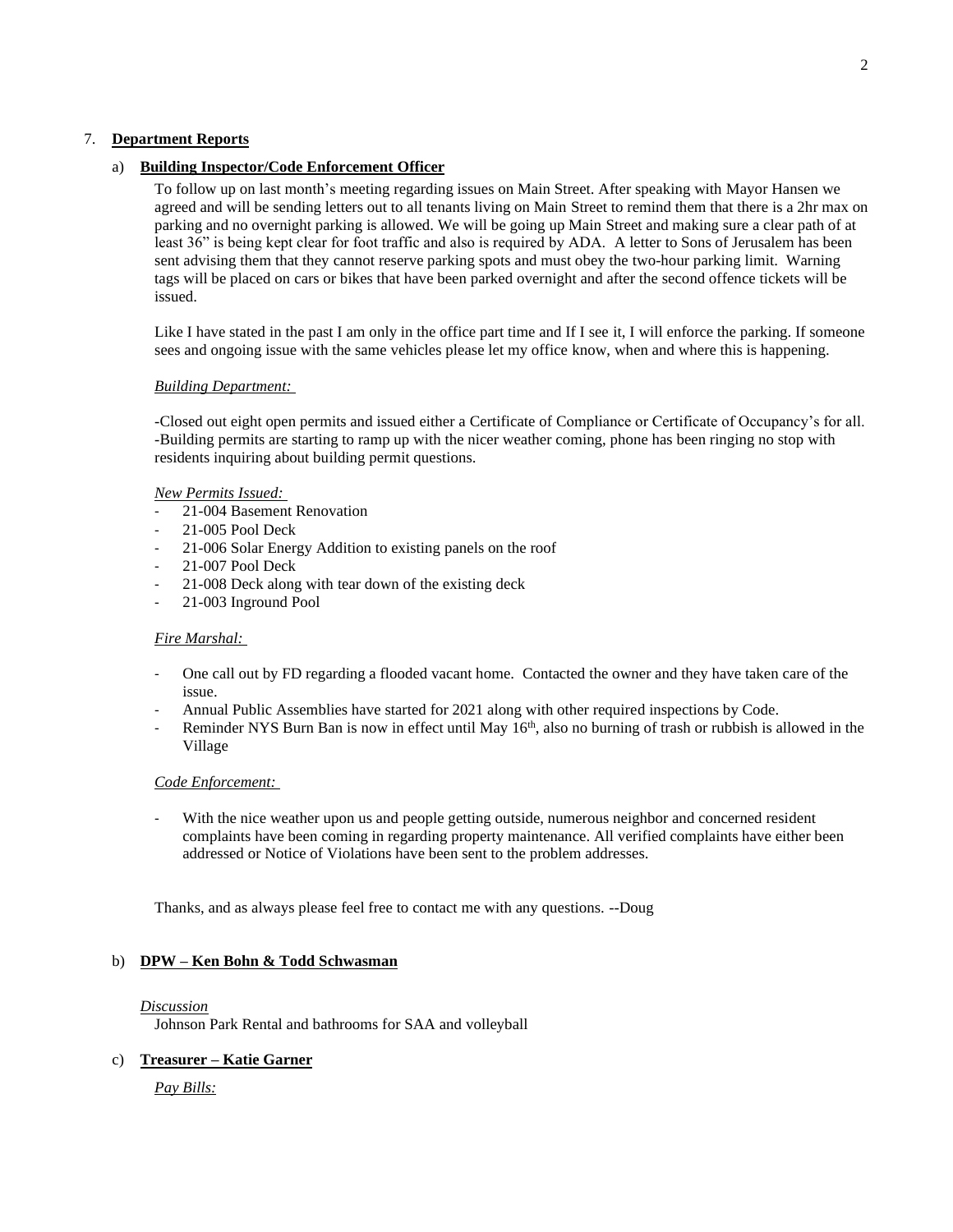# 7. **Department Reports**

# a) **Building Inspector/Code Enforcement Officer**

To follow up on last month's meeting regarding issues on Main Street. After speaking with Mayor Hansen we agreed and will be sending letters out to all tenants living on Main Street to remind them that there is a 2hr max on parking and no overnight parking is allowed. We will be going up Main Street and making sure a clear path of at least 36" is being kept clear for foot traffic and also is required by ADA. A letter to Sons of Jerusalem has been sent advising them that they cannot reserve parking spots and must obey the two-hour parking limit. Warning tags will be placed on cars or bikes that have been parked overnight and after the second offence tickets will be issued.

Like I have stated in the past I am only in the office part time and If I see it, I will enforce the parking. If someone sees and ongoing issue with the same vehicles please let my office know, when and where this is happening.

### *Building Department:*

-Closed out eight open permits and issued either a Certificate of Compliance or Certificate of Occupancy's for all. -Building permits are starting to ramp up with the nicer weather coming, phone has been ringing no stop with residents inquiring about building permit questions.

#### *New Permits Issued:*

- 21-004 Basement Renovation
- 21-005 Pool Deck
- 21-006 Solar Energy Addition to existing panels on the roof
- 21-007 Pool Deck
- 21-008 Deck along with tear down of the existing deck
- 21-003 Inground Pool

### *Fire Marshal:*

- One call out by FD regarding a flooded vacant home. Contacted the owner and they have taken care of the issue.
- Annual Public Assemblies have started for 2021 along with other required inspections by Code.
- Reminder NYS Burn Ban is now in effect until May  $16<sup>th</sup>$ , also no burning of trash or rubbish is allowed in the Village

### *Code Enforcement:*

With the nice weather upon us and people getting outside, numerous neighbor and concerned resident complaints have been coming in regarding property maintenance. All verified complaints have either been addressed or Notice of Violations have been sent to the problem addresses.

Thanks, and as always please feel free to contact me with any questions. --Doug

### b) **DPW – Ken Bohn & Todd Schwasman**

#### *Discussion*

Johnson Park Rental and bathrooms for SAA and volleyball

# c) **Treasurer – Katie Garner**

*Pay Bills:*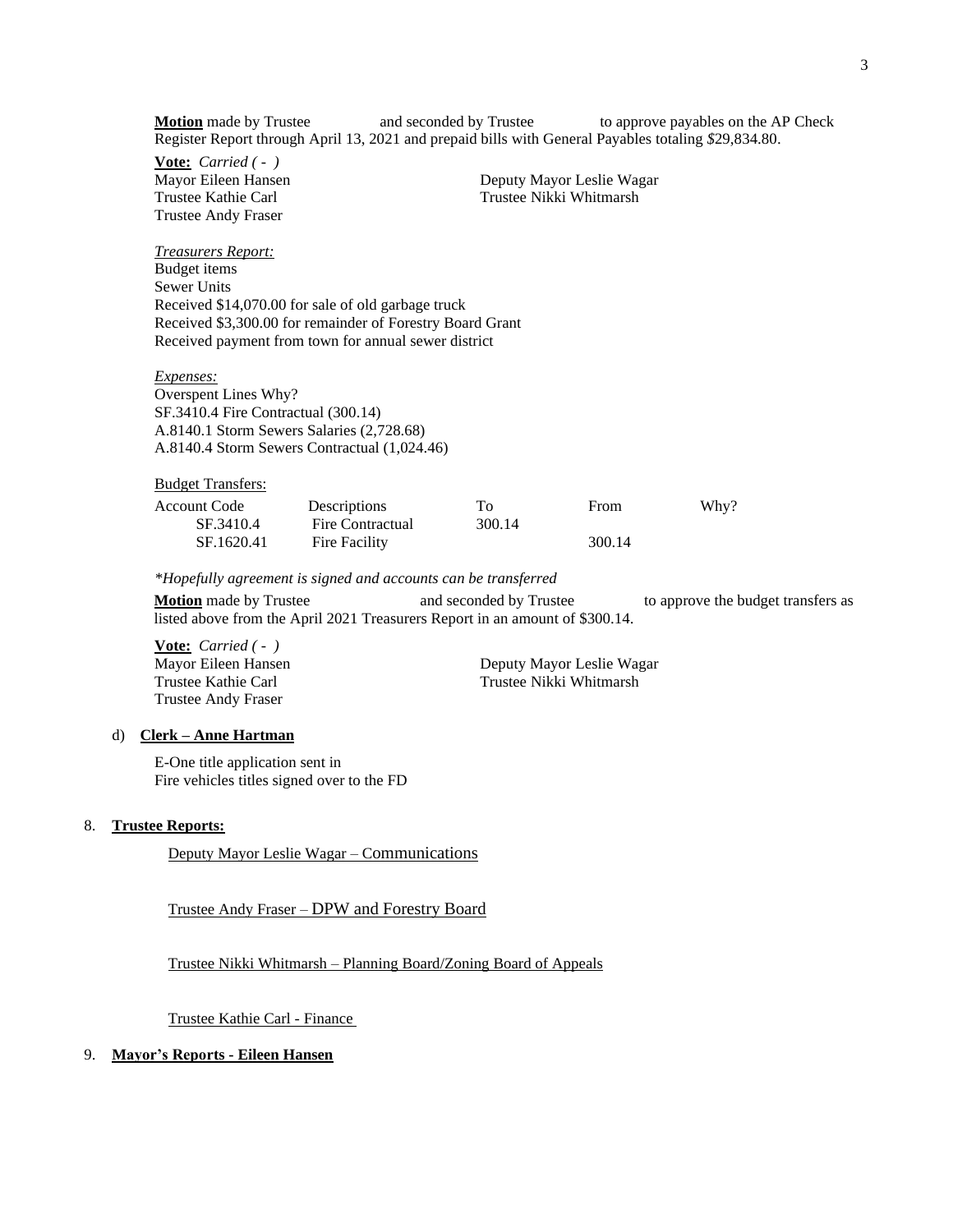**Motion** made by Trustee and seconded by Trustee to approve payables on the AP Check Register Report through April 13, 2021 and prepaid bills with General Payables totaling *\$*29,834.80.

**Vote:** *Carried ( - )* Trustee Andy Fraser

*Treasurers Report:* Budget items

Mayor Eileen Hansen **Deputy Mayor Leslie Wagar** Trustee Kathie Carl Trustee Nikki Whitmarsh

Sewer Units Received \$14,070.00 for sale of old garbage truck Received \$3,300.00 for remainder of Forestry Board Grant Received payment from town for annual sewer district

*Expenses:* Overspent Lines Why? SF.3410.4 Fire Contractual (300.14) A.8140.1 Storm Sewers Salaries (2,728.68) A.8140.4 Storm Sewers Contractual (1,024.46)

| <b>Budget Transfers:</b> |                  |        |        |      |
|--------------------------|------------------|--------|--------|------|
| Account Code             | Descriptions     | Tо     | From   | Why? |
| SF.3410.4                | Fire Contractual | 300.14 |        |      |
| SF.1620.41               | Fire Facility    |        | 300.14 |      |

*\*Hopefully agreement is signed and accounts can be transferred*

**Motion** made by Trustee **and seconded by Trustee** to approve the budget transfers as listed above from the April 2021 Treasurers Report in an amount of \$300.14.

**Vote:** *Carried ( - )* Trustee Andy Fraser

Deputy Mayor Leslie Wagar Trustee Kathie Carl Trustee Nikki Whitmarsh

#### d) **Clerk – Anne Hartman**

E-One title application sent in Fire vehicles titles signed over to the FD

#### 8. **Trustee Reports:**

Deputy Mayor Leslie Wagar – Communications

Trustee Andy Fraser – DPW and Forestry Board

Trustee Nikki Whitmarsh – Planning Board/Zoning Board of Appeals

Trustee Kathie Carl - Finance

# 9. **Mayor's Reports - Eileen Hansen**